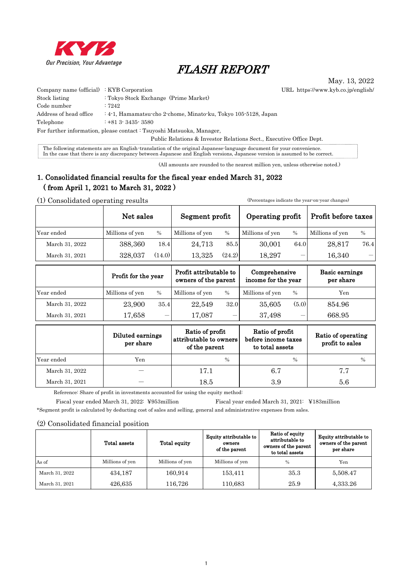

# FLASH REPORT

May. 13, 2022

| Company name (official) $:$ KYB Corporation |                                                                | URL https://www.kyb.co.jp/english/ |
|---------------------------------------------|----------------------------------------------------------------|------------------------------------|
| Stock listing                               | : Tokyo Stock Exchange (Prime Market)                          |                                    |
| Code number                                 | :7242                                                          |                                    |
| Address of head office                      | : 4-1, Hamamatsu-cho 2-chome, Minato-ku, Tokyo 105-5128, Japan |                                    |
| Telephone                                   | $: +813 \cdot 3435 \cdot 3580$                                 |                                    |
| <b>17 (1 (1 )</b>                           |                                                                |                                    |

For further information, please contact : Tsuyoshi Matsuoka, Manager,

Public Relations & Investor Relations Sect., Executive Office Dept.

The following statements are an English-translation of the original Japanese-language document for your convenience.<br>In the case that there is any discrepancy between Japanese and English versions, Japanese version is assu

(All amounts are rounded to the nearest million yen, unless otherwise noted.)

## 1. Consolidated financial results for the fiscal year ended March 31, 2022 ( from April 1, 2021 to March 31, 2022 )

(1) Consolidated operating results (Percentages indicate the year-on-year changes) Year ended Millions of yen % Millions of yen % Millions of yen % Millions of yen % March 31, 2022 | 388,360 18.4 24,713 85.5 30,001 64.0 28,817 76.4 March 31, 2021  $\begin{vmatrix} 328,037 & (14.0) & 13,325 & (24.2) & 18,297 & - \end{vmatrix}$  16,340 Net sales Segment profit | Operating profit | Profit before taxes

|                | Profit for the year |                          | Profit attributable to<br>owners of the parent |                          | Comprehensive<br>income for the year |       | <b>Basic earnings</b><br>per share |
|----------------|---------------------|--------------------------|------------------------------------------------|--------------------------|--------------------------------------|-------|------------------------------------|
| Year ended     | Millions of yen     | $\%$                     | Millions of yen                                | $\frac{0}{0}$            | Millions of yen                      | $\%$  | Yen                                |
| March 31, 2022 | 23,900              | 35.4                     | 22,549                                         | 32.0                     | 35,605                               | (5.0) | 854.96                             |
| March 31, 2021 | 17,658              | $\overline{\phantom{m}}$ | 17,087                                         | $\overline{\phantom{0}}$ | 37.498                               |       | 668.95                             |

|                | Diluted earnings<br>per share | Ratio of profit<br>attributable to owners<br>of the parent | Ratio of profit<br>before income taxes<br>to total assets | Ratio of operating<br>profit to sales |
|----------------|-------------------------------|------------------------------------------------------------|-----------------------------------------------------------|---------------------------------------|
| Year ended     | Yen                           | $\%$                                                       | $\frac{0}{0}$                                             | $\frac{0}{0}$                         |
| March 31, 2022 |                               | 17.1                                                       | 6.7                                                       | 7.7                                   |
| March 31, 2021 |                               | 18.5                                                       | 3.9                                                       | 5.6                                   |

Reference: Share of profit in investments accounted for using the equity method:

Fiscal year ended March 31, 2022: ¥953million Fiscal year ended March 31, 2021: ¥183million

\*Segment profit is calculated by deducting cost of sales and selling, general and administrative expenses from sales.

### (2) Consolidated financial position

|                | Total assets    | Total equity    | Equity attributable to<br>owners<br>of the parent | Ratio of equity<br>attributable to<br>owners of the parent<br>to total assets | Equity attributable to<br>owners of the parent<br>per share |
|----------------|-----------------|-----------------|---------------------------------------------------|-------------------------------------------------------------------------------|-------------------------------------------------------------|
| As of          | Millions of yen | Millions of yen | Millions of yen                                   | $\%$                                                                          | Yen                                                         |
| March 31, 2022 | 434.187         | 160,914         | 153,411                                           | 35.3                                                                          | 5,508.47                                                    |
| March 31, 2021 | 426,635         | 116,726         | 110.683                                           | 25.9                                                                          | 4,333.26                                                    |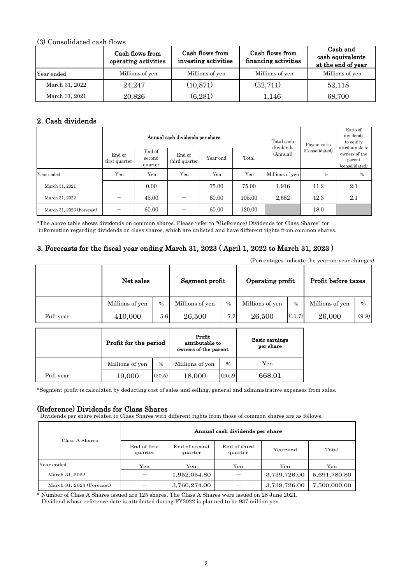## (3) Consolidated cash flows

|                | Cash flows from<br>operating activities | Cash flows from<br>investing activities | Cash flows from<br>financing activities | Cash and<br>cash equivalents<br>at the end of year |
|----------------|-----------------------------------------|-----------------------------------------|-----------------------------------------|----------------------------------------------------|
| Year ended     | Millions of yen                         | Millions of yen                         | Millions of yen                         | Millions of yen                                    |
| March 31, 2022 | 24,247                                  | (10, 871)                               | (32,711)                                | 52,118                                             |
| March 31, 2021 | 20,826                                  | (6, 281)                                | 1,146                                   | 68,700                                             |

## 2. Cash dividends

| Annual cash dividends per share |                         |                             |                         |          | Total cash | Payout ratio          | Ratio of<br>dividends<br>to equity |                                                              |
|---------------------------------|-------------------------|-----------------------------|-------------------------|----------|------------|-----------------------|------------------------------------|--------------------------------------------------------------|
|                                 | End of<br>first quarter | End of<br>second<br>quarter | End of<br>third quarter | Year-end | Total      | dividends<br>(Annual) | (Consolidated)                     | attributable to<br>owners of the<br>parent<br>(consolidated) |
| Year ended                      | Yen                     | Yen                         | Yen                     | Yen      | Yen        | Millions of yen       | $\%$                               | $\%$                                                         |
| March 31, 2021                  |                         | 0.00                        |                         | 75.00    | 75.00      | 1,916                 | 11.2                               | 2.1                                                          |
| March 31, 2022                  | _                       | 45.00                       | _                       | 60.00    | 105.00     | 2,682                 | 12.3                               | 2.1                                                          |
| March 31, 2023 (Forecast)       |                         | 60.00                       |                         | 60.00    | 120.00     |                       | 18.0                               |                                                              |

\*The above table shows dividends on common shares. Please refer to "(Reference) Dividends for Class Shares" for information regarding dividends on class shares, which are unlisted and have different rights from common shares.

## 3. Forecasts for the fiscal year ending March 31, 2023 ( April 1, 2022 to March 31, 2023 )

|           | Net sales       |               | Segment profit  |      | Operating profit |               | (Percentages indicate the year-on-year changes)<br>Profit before taxes |               |
|-----------|-----------------|---------------|-----------------|------|------------------|---------------|------------------------------------------------------------------------|---------------|
|           | Millions of yen | $\frac{0}{0}$ | Millions of yen | $\%$ | Millions of yen  | $\frac{0}{0}$ | Millions of yen                                                        | $\frac{0}{0}$ |
| Full year | 410,000         | 5.6           | 26,500          | 7.2  | 26,500           | (11.7)        | 26,000                                                                 | (9.8)         |

|           | Profit for the period |               | Profit<br>attributable to<br>owners of the parent |               | Basic earnings<br>per share |
|-----------|-----------------------|---------------|---------------------------------------------------|---------------|-----------------------------|
|           | Millions of yen       | $\frac{0}{0}$ | Millions of yen                                   | $\frac{0}{0}$ | Yen                         |
| Full year | 19,000                | (20.5)        | 18,000                                            | (20.2)        | 668.01                      |

\*Segment profit is calculated by deducting cost of sales and selling, general and administrative expenses from sales.

## (Reference) Dividends for Class Shares

Dividends per share related to Class Shares with different rights from those of common shares are as follows.

| Class A Shares            | Annual cash dividends per share |                          |                         |              |              |  |  |  |
|---------------------------|---------------------------------|--------------------------|-------------------------|--------------|--------------|--|--|--|
|                           | End of first<br>quarter         | End of second<br>quarter | End of third<br>quarter | Year-end     | Total        |  |  |  |
| Year ended                | Yen                             | Yen                      | Yen                     | Yen          | Yen          |  |  |  |
| March 31, 2022            |                                 | 1,952,054.80             |                         | 3,739,726.00 | 5,691,780.80 |  |  |  |
| March 31, 2023 (Forecast) |                                 | 3,760,274.00             |                         | 3,739,726.00 | 7,500,000.00 |  |  |  |

\* Number of Class A Shares issued are 125 shares. The Class A Shares were issued on 28 June 2021.

Dividend whose reference date is attributed during FY2022 is planned to be 937 million yen.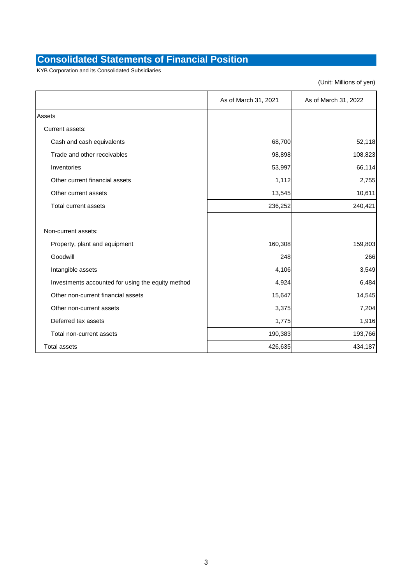# **Consolidated Statements of Financial Position**

KYB Corporation and its Consolidated Subsidiaries

(Unit: Millions of yen)

|                                                   | As of March 31, 2021 | As of March 31, 2022 |
|---------------------------------------------------|----------------------|----------------------|
| Assets                                            |                      |                      |
| Current assets:                                   |                      |                      |
| Cash and cash equivalents                         | 68,700               | 52,118               |
| Trade and other receivables                       | 98,898               | 108,823              |
| Inventories                                       | 53,997               | 66,114               |
| Other current financial assets                    | 1,112                | 2,755                |
| Other current assets                              | 13,545               | 10,611               |
| Total current assets                              | 236,252              | 240,421              |
|                                                   |                      |                      |
| Non-current assets:                               |                      |                      |
| Property, plant and equipment                     | 160,308              | 159,803              |
| Goodwill                                          | 248                  | 266                  |
| Intangible assets                                 | 4,106                | 3,549                |
| Investments accounted for using the equity method | 4,924                | 6,484                |
| Other non-current financial assets                | 15,647               | 14,545               |
| Other non-current assets                          | 3,375                | 7,204                |
| Deferred tax assets                               | 1,775                | 1,916                |
| Total non-current assets                          | 190,383              | 193,766              |
| <b>Total assets</b>                               | 426,635              | 434,187              |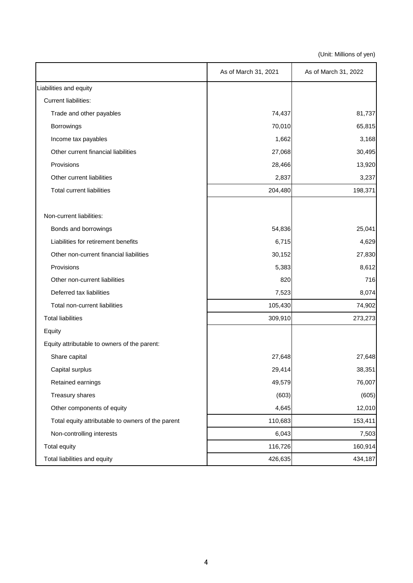(Unit: Millions of yen)

|                                                   | As of March 31, 2021 | As of March 31, 2022 |
|---------------------------------------------------|----------------------|----------------------|
| Liabilities and equity                            |                      |                      |
| <b>Current liabilities:</b>                       |                      |                      |
| Trade and other payables                          | 74,437               | 81,737               |
| Borrowings                                        | 70,010               | 65,815               |
| Income tax payables                               | 1,662                | 3,168                |
| Other current financial liabilities               | 27,068               | 30,495               |
| Provisions                                        | 28,466               | 13,920               |
| Other current liabilities                         | 2,837                | 3,237                |
| <b>Total current liabilities</b>                  | 204,480              | 198,371              |
|                                                   |                      |                      |
| Non-current liabilities:                          |                      |                      |
| Bonds and borrowings                              | 54,836               | 25,041               |
| Liabilities for retirement benefits               | 6,715                | 4,629                |
| Other non-current financial liabilities           | 30,152               | 27,830               |
| Provisions                                        | 5,383                | 8,612                |
| Other non-current liabilities                     | 820                  | 716                  |
| Deferred tax liabilities                          | 7,523                | 8,074                |
| Total non-current liabilities                     | 105,430              | 74,902               |
| <b>Total liabilities</b>                          | 309,910              | 273,273              |
| Equity                                            |                      |                      |
| Equity attributable to owners of the parent:      |                      |                      |
| Share capital                                     | 27,648               | 27,648               |
| Capital surplus                                   | 29,414               | 38,351               |
| Retained earnings                                 | 49,579               | 76,007               |
| Treasury shares                                   | (603)                | (605)                |
| Other components of equity                        | 4,645                | 12,010               |
| Total equity attributable to owners of the parent | 110,683              | 153,411              |
| Non-controlling interests                         | 6,043                | 7,503                |
| <b>Total equity</b>                               | 116,726              | 160,914              |
| Total liabilities and equity                      | 426,635              | 434,187              |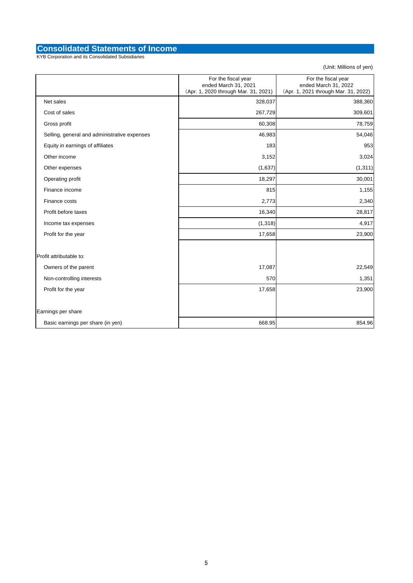## **Consolidated Statements of Income**

KYB Corporation and its Consolidated Subsidiaries

(Unit: Millions of yen)

|                                              | For the fiscal year<br>ended March 31, 2021<br>(Apr. 1, 2020 through Mar. 31, 2021) | For the fiscal year<br>ended March 31, 2022<br>(Apr. 1, 2021 through Mar. 31, 2022) |
|----------------------------------------------|-------------------------------------------------------------------------------------|-------------------------------------------------------------------------------------|
| Net sales                                    | 328,037                                                                             | 388,360                                                                             |
| Cost of sales                                | 267,729                                                                             | 309,601                                                                             |
| Gross profit                                 | 60,308                                                                              | 78,759                                                                              |
| Selling, general and administrative expenses | 46,983                                                                              | 54,046                                                                              |
| Equity in earnings of affiliates             | 183                                                                                 | 953                                                                                 |
| Other income                                 | 3,152                                                                               | 3,024                                                                               |
| Other expenses                               | (1,637)                                                                             | (1, 311)                                                                            |
| Operating profit                             | 18,297                                                                              | 30,001                                                                              |
| Finance income                               | 815                                                                                 | 1,155                                                                               |
| Finance costs                                | 2,773                                                                               | 2,340                                                                               |
| Profit before taxes                          | 16,340                                                                              | 28,817                                                                              |
| Income tax expenses                          | (1, 318)                                                                            | 4,917                                                                               |
| Profit for the year                          | 17,658                                                                              | 23,900                                                                              |
| Profit attributable to:                      |                                                                                     |                                                                                     |
| Owners of the parent                         | 17,087                                                                              | 22,549                                                                              |
| Non-controlling interests                    | 570                                                                                 | 1,351                                                                               |
| Profit for the year                          | 17,658                                                                              | 23,900                                                                              |
| Earnings per share                           |                                                                                     |                                                                                     |
| Basic earnings per share (in yen)            | 668.95                                                                              | 854.96                                                                              |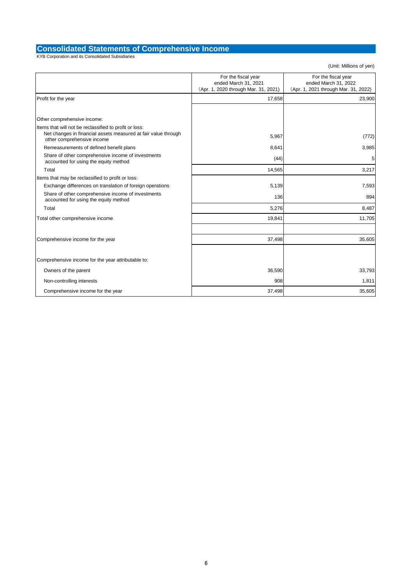## **Consolidated Statements of Comprehensive Income**

KYB Corporation and its Consolidated Subsidiaries

```
(Unit: Millions of yen)
```

|                                                                                                                                                         | For the fiscal year<br>ended March 31, 2021<br>(Apr. 1, 2020 through Mar. 31, 2021) | For the fiscal year<br>ended March 31, 2022<br>(Apr. 1, 2021 through Mar. 31, 2022) |
|---------------------------------------------------------------------------------------------------------------------------------------------------------|-------------------------------------------------------------------------------------|-------------------------------------------------------------------------------------|
| Profit for the year                                                                                                                                     | 17,658                                                                              | 23,900                                                                              |
| Other comprehensive income:<br>Items that will not be reclassified to profit or loss:<br>Net changes in financial assets measured at fair value through |                                                                                     |                                                                                     |
| other comprehensive income                                                                                                                              | 5,967                                                                               | (772)                                                                               |
| Remeasurements of defined benefit plans                                                                                                                 | 8,641                                                                               | 3,985                                                                               |
| Share of other comprehensive income of investments<br>accounted for using the equity method                                                             | (44)                                                                                | 5                                                                                   |
| Total                                                                                                                                                   | 14,565                                                                              | 3,217                                                                               |
| Items that may be reclassified to profit or loss:                                                                                                       |                                                                                     |                                                                                     |
| Exchange differences on translation of foreign operations                                                                                               | 5,139                                                                               | 7,593                                                                               |
| Share of other comprehensive income of investments<br>accounted for using the equity method                                                             | 136                                                                                 | 894                                                                                 |
| Total                                                                                                                                                   | 5,276                                                                               | 8,487                                                                               |
| Total other comprehensive income                                                                                                                        | 19,841                                                                              | 11,705                                                                              |
| Comprehensive income for the year                                                                                                                       | 37,498                                                                              | 35,605                                                                              |
| Comprehensive income for the year attributable to:                                                                                                      |                                                                                     |                                                                                     |
| Owners of the parent                                                                                                                                    | 36,590                                                                              | 33,793                                                                              |
| Non-controlling interests                                                                                                                               | 908                                                                                 | 1,811                                                                               |
| Comprehensive income for the year                                                                                                                       | 37,498                                                                              | 35,605                                                                              |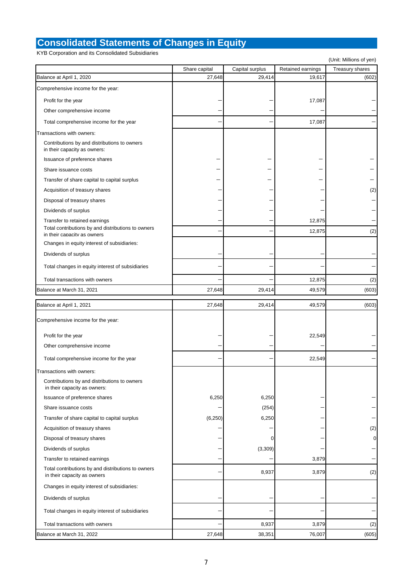# **Consolidated Statements of Changes in Equity**

KYB Corporation and its Consolidated Subsidiaries

Share capital Capital surplus Retained earnings Treasury shares Balance at April 1, 2020 27,648 29,414 29,414 19,617 19,617 (602) Comprehensive income for the year: Profit for the year  $-$  17,087 Other comprehensive income Total comprehensive income for the year  $-$  17,087 Transactions with owners: Contributions by and distributions to owners in their capacity as owners: Issuance of preference shares Share issuance costs Transfer of share capital to capital surplus Acquisition of treasury shares  $(2)$ Disposal of treasury shares Dividends of surplus Transfer to retained earnings  $+$  12,875 Total contributions by and distributions to owners  $\frac{1}{2}$  in their capacity as owners  $\frac{1}{2}$  (2) Changes in equity interest of subsidiaries: Dividends of surplus Total changes in equity interest of subsidiaries Total transactions with owners  $12,875$  (2) Balance at March 31, 2021 27,648 27,648 29,414 29,414 49,579 49,579 (603) Balance at April 1, 2021 **27,648** 27,648 29,414 49,579 49,579 (603) Comprehensive income for the year: Profit for the year  $-$  22,549 Other comprehensive income Total comprehensive income for the year  $22,549$ Transactions with owners: Contributions by and distributions to owners in their capacity as owners: Issuance of preference shares 6,250 6,250 6,250 6,250 6,250 6,250 6,250 6,250 6,250 6,250 6,250 6,250 6,250 6,250 6,250 6,250 6,250 6,250 6,250 6,250 6,250 6,250 6,250 6,250 6,250 6,250 6,250 6,250 6,250 6,250 6,250 6,250 Share issuance costs  $-$  (254) -  $\sim$  (254) Transfer of share capital to capital surplus (6,250) 6,250 Acquisition of treasury shares  $(2)$ Disposal of treasury shares  $0$   $0$ Dividends of surplus  $-$  (3,309) Transfer to retained earnings - - 3,879 - Total contributions by and distributions to owners  $\begin{bmatrix}\n 1 & 0 & 0 \\
0 & 0 & 0 \\
0 & 0 & 0\n \end{bmatrix}\n \begin{bmatrix}\n 0 & 0 & 0 \\
0 & 0 & 0 \\
0 & 0 & 0\n \end{bmatrix}\n \begin{bmatrix}\n 0 & 0 & 0 \\
0 & 0 & 0 \\
0 & 0 & 0\n \end{bmatrix}\n \begin{bmatrix}\n 0 & 0 & 0 \\
0 & 0 & 0 \\
0 & 0 & 0\n \end{bmatrix}\n \begin{bmatrix}\n$ Changes in equity interest of subsidiaries: Dividends of surplus Total changes in equity interest of subsidiaries Total transactions with owners  $\begin{vmatrix} 2 & -1 \\ 4 & 8 \end{vmatrix}$   $\begin{vmatrix} 8 & 9 & 3 \end{vmatrix}$   $\begin{vmatrix} 3 & 879 \\ 1 & 3 & 8 \end{vmatrix}$  (2) Balance at March 31, 2022 27,648 38,351 76,007 38,351 38,351 76,007 38,351 38,351 76,007 38,351 39, (Unit: Millions of yen)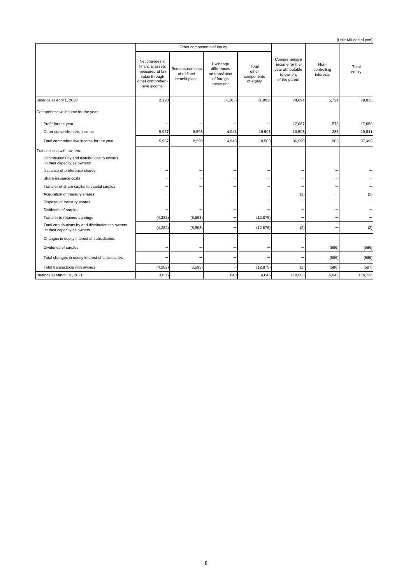| (Unit: Millions of yen)                                                           |                                                                                                            |                                               |                                                                       |                                           |                                                                                    |                                  |                 |  |  |  |  |
|-----------------------------------------------------------------------------------|------------------------------------------------------------------------------------------------------------|-----------------------------------------------|-----------------------------------------------------------------------|-------------------------------------------|------------------------------------------------------------------------------------|----------------------------------|-----------------|--|--|--|--|
|                                                                                   |                                                                                                            | Other components of equity                    |                                                                       |                                           |                                                                                    |                                  |                 |  |  |  |  |
|                                                                                   | Net changes in<br>financial assets<br>measured at fair<br>value through<br>other comprehen-<br>sive income | Remeasurements<br>of defined<br>benefit plans | Exchange<br>differences<br>on translation<br>of foreign<br>operations | Total<br>other<br>components<br>of equity | Comprehensive<br>income for the<br>year attributable<br>to owners<br>of the parent | Non-<br>controlling<br>interests | Total<br>equity |  |  |  |  |
| Balance at April 1, 2020                                                          | 2,120                                                                                                      |                                               | (4, 103)                                                              | (1,983)                                   | 74,094                                                                             | 5,721                            | 79,815          |  |  |  |  |
| Comprehensive income for the year:                                                |                                                                                                            |                                               |                                                                       |                                           |                                                                                    |                                  |                 |  |  |  |  |
| Profit for the year                                                               |                                                                                                            |                                               |                                                                       |                                           | 17,087                                                                             | 570                              | 17,658          |  |  |  |  |
| Other comprehensive income                                                        | 5,967                                                                                                      | 8,593                                         | 4,943                                                                 | 19,503                                    | 19,503                                                                             | 338                              | 19,841          |  |  |  |  |
| Total comprehensive income for the year                                           | 5,967                                                                                                      | 8,593                                         | 4,943                                                                 | 19,503                                    | 36,590                                                                             | 908                              | 37,498          |  |  |  |  |
| Transactions with owners:                                                         |                                                                                                            |                                               |                                                                       |                                           |                                                                                    |                                  |                 |  |  |  |  |
| Contributions by and distributions to owners<br>in their capacity as owners:      |                                                                                                            |                                               |                                                                       |                                           |                                                                                    |                                  |                 |  |  |  |  |
| Issuance of preference shares                                                     |                                                                                                            |                                               |                                                                       |                                           |                                                                                    |                                  |                 |  |  |  |  |
| Share issuance costs                                                              |                                                                                                            |                                               | -                                                                     |                                           |                                                                                    |                                  |                 |  |  |  |  |
| Transfer of share capital to capital surplus                                      |                                                                                                            |                                               |                                                                       |                                           |                                                                                    |                                  |                 |  |  |  |  |
| Acquisition of treasury shares                                                    |                                                                                                            |                                               |                                                                       |                                           | (2)                                                                                |                                  | (2)             |  |  |  |  |
| Disposal of treasury shares                                                       |                                                                                                            |                                               |                                                                       |                                           |                                                                                    |                                  |                 |  |  |  |  |
| Dividends of surplus                                                              |                                                                                                            |                                               |                                                                       |                                           |                                                                                    |                                  |                 |  |  |  |  |
| Transfer to retained earnings                                                     | (4, 282)                                                                                                   | (8,593)                                       | -                                                                     | (12, 875)                                 |                                                                                    |                                  |                 |  |  |  |  |
| Total contributions by and distributions to owners<br>in their capacity as owners | (4, 282)                                                                                                   | (8, 593)                                      |                                                                       | (12, 875)                                 | (2)                                                                                |                                  | (2)             |  |  |  |  |
| Changes in equity interest of subsidiaries:                                       |                                                                                                            |                                               |                                                                       |                                           |                                                                                    |                                  |                 |  |  |  |  |
| Dividends of surplus                                                              |                                                                                                            |                                               |                                                                       |                                           |                                                                                    | (586)                            | (586)           |  |  |  |  |
| Total changes in equity interest of subsidiaries                                  |                                                                                                            |                                               |                                                                       |                                           |                                                                                    | (586)                            | (586)           |  |  |  |  |
| Total transactions with owners                                                    | (4, 282)                                                                                                   | (8,593)                                       |                                                                       | (12, 875)                                 | (2)                                                                                | (586)                            | (587)           |  |  |  |  |
| Balance at March 31, 2021                                                         | 3,805                                                                                                      |                                               | 840                                                                   | 4,645                                     | 110,683                                                                            | 6,043                            | 116,726         |  |  |  |  |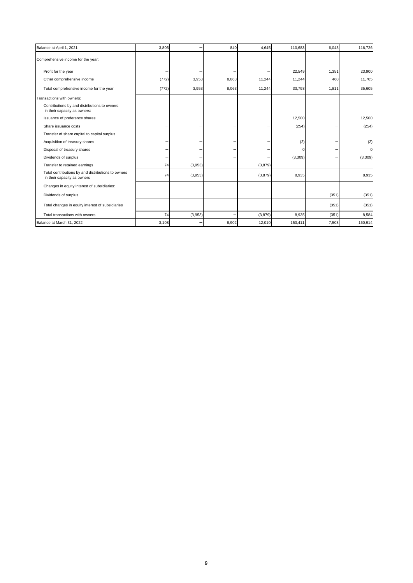| Balance at April 1, 2021                                                          | 3,805 |         | 840   | 4,645   | 110,683 | 6,043 | 116,726     |
|-----------------------------------------------------------------------------------|-------|---------|-------|---------|---------|-------|-------------|
| Comprehensive income for the year:                                                |       |         |       |         |         |       |             |
| Profit for the year                                                               |       | -       | -     |         | 22,549  | 1,351 | 23,900      |
| Other comprehensive income                                                        | (772) | 3,953   | 8,063 | 11,244  | 11,244  | 460   | 11,705      |
| Total comprehensive income for the year                                           | (772) | 3,953   | 8,063 | 11,244  | 33,793  | 1,811 | 35,605      |
| Transactions with owners:                                                         |       |         |       |         |         |       |             |
| Contributions by and distributions to owners<br>in their capacity as owners:      |       |         |       |         |         |       |             |
| Issuance of preference shares                                                     |       |         |       |         | 12,500  |       | 12,500      |
| Share issuance costs                                                              |       |         | -     |         | (254)   |       | (254)       |
| Transfer of share capital to capital surplus                                      |       |         |       |         |         |       |             |
| Acquisition of treasury shares                                                    |       |         | -     |         | (2)     |       | (2)         |
| Disposal of treasury shares                                                       |       |         | -     |         |         |       | $\mathbf 0$ |
| Dividends of surplus                                                              |       |         | -     |         | (3,309) |       | (3,309)     |
| Transfer to retained earnings                                                     | 74    | (3,953) | -     | (3,879) |         |       |             |
| Total contributions by and distributions to owners<br>in their capacity as owners | 74    | (3,953) |       | (3,879) | 8,935   |       | 8,935       |
| Changes in equity interest of subsidiaries:                                       |       |         |       |         |         |       |             |
| Dividends of surplus                                                              |       |         |       |         |         | (351) | (351)       |
| Total changes in equity interest of subsidiaries                                  |       |         |       |         |         | (351) | (351)       |
| Total transactions with owners                                                    | 74    | (3,953) |       | (3,879) | 8,935   | (351) | 8,584       |
| Balance at March 31, 2022                                                         | 3,108 |         | 8,902 | 12,010  | 153,411 | 7,503 | 160,914     |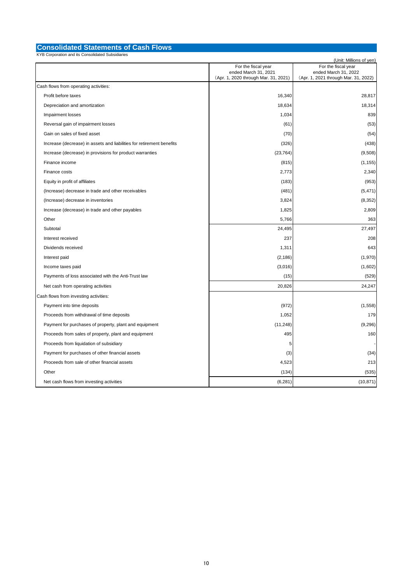### **Consolidated Statements of Cash Flows**

KYB Corporation and its Consolidated Subsidiaries

| (Unit: Millions of yen)                                               |                                                              |                                                              |  |  |  |  |  |
|-----------------------------------------------------------------------|--------------------------------------------------------------|--------------------------------------------------------------|--|--|--|--|--|
|                                                                       | For the fiscal year                                          | For the fiscal year                                          |  |  |  |  |  |
|                                                                       | ended March 31, 2021<br>(Apr. 1, 2020 through Mar. 31, 2021) | ended March 31, 2022<br>(Apr. 1, 2021 through Mar. 31, 2022) |  |  |  |  |  |
| Cash flows from operating activities:                                 |                                                              |                                                              |  |  |  |  |  |
| Profit before taxes                                                   | 16,340                                                       | 28,817                                                       |  |  |  |  |  |
| Depreciation and amortization                                         | 18,634                                                       | 18,314                                                       |  |  |  |  |  |
| Impairment losses                                                     | 1,034                                                        | 839                                                          |  |  |  |  |  |
| Reversal gain of impairment losses                                    | (61)                                                         | (53)                                                         |  |  |  |  |  |
| Gain on sales of fixed asset                                          | (70)                                                         | (54)                                                         |  |  |  |  |  |
| Increase (decrease) in assets and liabilities for retirement benefits | (326)                                                        | (438)                                                        |  |  |  |  |  |
| Increase (decrease) in provisions for product warranties              | (23, 764)                                                    | (9,508)                                                      |  |  |  |  |  |
| Finance income                                                        | (815)                                                        | (1, 155)                                                     |  |  |  |  |  |
| Finance costs                                                         | 2,773                                                        | 2,340                                                        |  |  |  |  |  |
| Equity in profit of affiliates                                        | (183)                                                        | (953)                                                        |  |  |  |  |  |
| (Increase) decrease in trade and other receivables                    | (481)                                                        | (5, 471)                                                     |  |  |  |  |  |
| (Increase) decrease in inventories                                    | 3,824                                                        | (8, 352)                                                     |  |  |  |  |  |
| Increase (decrease) in trade and other payables                       | 1,825                                                        | 2,809                                                        |  |  |  |  |  |
| Other                                                                 | 5,766                                                        | 363                                                          |  |  |  |  |  |
| Subtotal                                                              | 24,495                                                       | 27,497                                                       |  |  |  |  |  |
| Interest received                                                     | 237                                                          | 208                                                          |  |  |  |  |  |
| Dividends received                                                    | 1,311                                                        | 643                                                          |  |  |  |  |  |
| Interest paid                                                         | (2, 186)                                                     | (1,970)                                                      |  |  |  |  |  |
| Income taxes paid                                                     | (3,016)                                                      | (1,602)                                                      |  |  |  |  |  |
| Payments of loss associated with the Anti-Trust law                   | (15)                                                         | (529)                                                        |  |  |  |  |  |
| Net cash from operating activities                                    | 20,826                                                       | 24,247                                                       |  |  |  |  |  |
| Cash flows from investing activities:                                 |                                                              |                                                              |  |  |  |  |  |
| Payment into time deposits                                            | (972)                                                        | (1,558)                                                      |  |  |  |  |  |
| Proceeds from withdrawal of time deposits                             | 1,052                                                        | 179                                                          |  |  |  |  |  |
| Payment for purchases of property, plant and equipment                | (11, 248)                                                    | (9, 296)                                                     |  |  |  |  |  |
| Proceeds from sales of property, plant and equipment                  | 495                                                          | 160                                                          |  |  |  |  |  |
| Proceeds from liquidation of subsidiary                               | 5                                                            |                                                              |  |  |  |  |  |
| Payment for purchases of other financial assets                       | (3)                                                          | (34)                                                         |  |  |  |  |  |
| Proceeds from sale of other financial assets                          | 4,523                                                        | 213                                                          |  |  |  |  |  |
| Other                                                                 | (134)                                                        | (535)                                                        |  |  |  |  |  |
| Net cash flows from investing activities                              | (6, 281)                                                     | (10, 871)                                                    |  |  |  |  |  |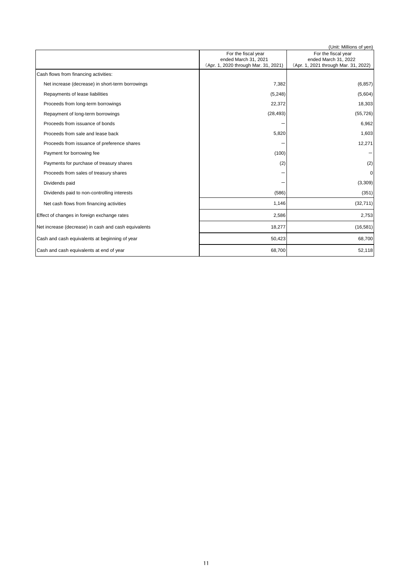| (Unit: Millions of yen)                              |                                                                                     |                                                                                     |  |  |  |  |  |  |
|------------------------------------------------------|-------------------------------------------------------------------------------------|-------------------------------------------------------------------------------------|--|--|--|--|--|--|
|                                                      | For the fiscal year<br>ended March 31, 2021<br>(Apr. 1, 2020 through Mar. 31, 2021) | For the fiscal year<br>ended March 31, 2022<br>(Apr. 1, 2021 through Mar. 31, 2022) |  |  |  |  |  |  |
| Cash flows from financing activities:                |                                                                                     |                                                                                     |  |  |  |  |  |  |
| Net increase (decrease) in short-term borrowings     | 7,382                                                                               | (6, 857)                                                                            |  |  |  |  |  |  |
| Repayments of lease liabilities                      | (5, 248)                                                                            | (5,604)                                                                             |  |  |  |  |  |  |
| Proceeds from long-term borrowings                   | 22,372                                                                              | 18,303                                                                              |  |  |  |  |  |  |
| Repayment of long-term borrowings                    | (28, 493)                                                                           | (55, 726)                                                                           |  |  |  |  |  |  |
| Proceeds from issuance of bonds                      |                                                                                     | 6,962                                                                               |  |  |  |  |  |  |
| Proceeds from sale and lease back                    | 5,820                                                                               | 1,603                                                                               |  |  |  |  |  |  |
| Proceeds from issuance of preference shares          |                                                                                     | 12,271                                                                              |  |  |  |  |  |  |
| Payment for borrowing fee                            | (100)                                                                               |                                                                                     |  |  |  |  |  |  |
| Payments for purchase of treasury shares             | (2)                                                                                 | (2)                                                                                 |  |  |  |  |  |  |
| Proceeds from sales of treasury shares               |                                                                                     | 0                                                                                   |  |  |  |  |  |  |
| Dividends paid                                       |                                                                                     | (3,309)                                                                             |  |  |  |  |  |  |
| Dividends paid to non-controlling interests          | (586)                                                                               | (351)                                                                               |  |  |  |  |  |  |
| Net cash flows from financing activities             | 1,146                                                                               | (32, 711)                                                                           |  |  |  |  |  |  |
| Effect of changes in foreign exchange rates          | 2,586                                                                               | 2,753                                                                               |  |  |  |  |  |  |
| Net increase (decrease) in cash and cash equivalents | 18,277                                                                              | (16, 581)                                                                           |  |  |  |  |  |  |
| Cash and cash equivalents at beginning of year       | 50,423                                                                              | 68,700                                                                              |  |  |  |  |  |  |
| Cash and cash equivalents at end of year             | 68,700                                                                              | 52,118                                                                              |  |  |  |  |  |  |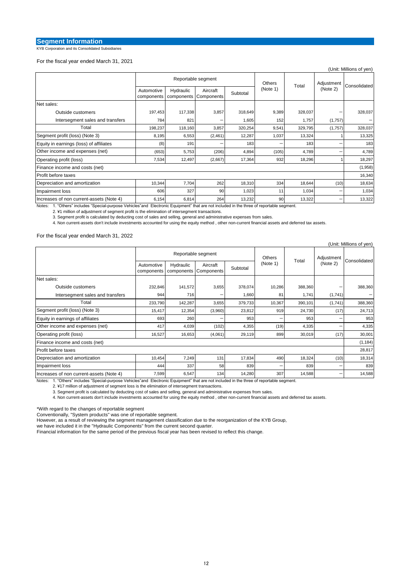## **Segment Information**

KYB Corporation and its Consolidated Subsidiaries

#### For the fiscal year ended March 31, 2021

|                                                                                                                                                                                                                                                                            |                          |                         |                        |          |                 |         |                        | (Unit: Millions of yen) |
|----------------------------------------------------------------------------------------------------------------------------------------------------------------------------------------------------------------------------------------------------------------------------|--------------------------|-------------------------|------------------------|----------|-----------------|---------|------------------------|-------------------------|
|                                                                                                                                                                                                                                                                            |                          |                         | Reportable segment     |          | Others          | Total   | Adjustment<br>(Note 2) | Consolidated            |
|                                                                                                                                                                                                                                                                            | Automotive<br>components | Hydraulic<br>components | Aircraft<br>Components | Subtotal | (Note 1)        |         |                        |                         |
| Net sales:                                                                                                                                                                                                                                                                 |                          |                         |                        |          |                 |         |                        |                         |
| Outside customers                                                                                                                                                                                                                                                          | 197,453                  | 117,338                 | 3,857                  | 318,649  | 9,389           | 328,037 |                        | 328,037                 |
| Intersegment sales and transfers                                                                                                                                                                                                                                           | 784                      | 821                     |                        | 1,605    | 152             | 1,757   | (1,757)                |                         |
| Total                                                                                                                                                                                                                                                                      | 198,237                  | 118,160                 | 3,857                  | 320,254  | 9,541           | 329,795 | (1,757)                | 328,037                 |
| Segment profit (loss) (Note 3)                                                                                                                                                                                                                                             | 8,195                    | 6,553                   | (2, 461)               | 12,287   | 1,037           | 13,324  |                        | 13,325                  |
| Equity in earnings (loss) of affiliates                                                                                                                                                                                                                                    | (8)                      | 191                     |                        | 183      |                 | 183     |                        | 183                     |
| Other income and expenses (net)                                                                                                                                                                                                                                            | (653)                    | 5,753                   | (206)                  | 4,894    | (105)           | 4,789   |                        | 4,789                   |
| Operating profit (loss)                                                                                                                                                                                                                                                    | 7,534                    | 12,497                  | (2,667)                | 17,364   | 932             | 18,296  |                        | 18,297                  |
| Finance income and costs (net)                                                                                                                                                                                                                                             |                          |                         |                        |          |                 |         |                        | (1,958)                 |
| Profit before taxes                                                                                                                                                                                                                                                        |                          |                         |                        |          |                 |         |                        | 16,340                  |
| Depreciation and amortization                                                                                                                                                                                                                                              | 10,344                   | 7,704                   | 262                    | 18,310   | 334             | 18,644  | (10)                   | 18,634                  |
| Impairment loss                                                                                                                                                                                                                                                            | 606                      | 327                     | 90                     | 1,023    | 11              | 1,034   |                        | 1,034                   |
| Increases of non current-assets (Note 4)<br>Alexander of WORLES & WORLD & WORLD AND COMMANDERS INTO A CONTRACT A CONTRACT CONTRACT OF STREET AND CONTRACT COMMANDERS AND COMMANDERS AND CONTRACT OF THE STREET AND CONTRACT OF THE STREET AND A CONTRACT OF THE STREET AND | 6,154                    | 6,814                   | 264                    | 13,232   | 90 <sup>1</sup> | 13,322  | -                      | 13,322                  |

Notes: 1. "Others" includes "Special-purpose Vehicles"and Electronic Equipment" that are not included in the three of reportable segment.

2. ¥1 million of adjustment of segment profit is the elimination of intersegment transactions.

3. Segment profit is calculated by deducting cost of sales and selling, general and administrative expenses from sales.

4. Non current-assets don't include investments accounted for using the equity method , other non-current financial assets and deferred tax assets.

### For the fiscal year ended March 31, 2022

| (Unit: Millions of yen)                  |                          |                         |                        |          |          |         |            |              |  |  |  |
|------------------------------------------|--------------------------|-------------------------|------------------------|----------|----------|---------|------------|--------------|--|--|--|
|                                          |                          | Reportable segment      |                        |          |          | Total   | Adjustment | Consolidated |  |  |  |
|                                          | Automotive<br>components | Hydraulic<br>components | Aircraft<br>Components | Subtotal | (Note 1) |         | (Note 2)   |              |  |  |  |
| Net sales:                               |                          |                         |                        |          |          |         |            |              |  |  |  |
| Outside customers                        | 232,846                  | 141,572                 | 3,655                  | 378,074  | 10,286   | 388,360 |            | 388,360      |  |  |  |
| Intersegment sales and transfers         | 944                      | 716                     |                        | 1,660    | 81       | 1,741   | (1,741)    |              |  |  |  |
| Total                                    | 233,790                  | 142,287                 | 3,655                  | 379,733  | 10,367   | 390,101 | (1,741)    | 388,360      |  |  |  |
| Segment profit (loss) (Note 3)           | 15,417                   | 12,354                  | (3,960)                | 23,812   | 919      | 24,730  | (17)       | 24,713       |  |  |  |
| Equity in earnings of affiliates         | 693                      | 260                     |                        | 953      | -        | 953     |            | 953          |  |  |  |
| Other income and expenses (net)          | 417                      | 4,039                   | (102)                  | 4,355    | (19)     | 4,335   |            | 4,335        |  |  |  |
| Operating profit (loss)                  | 16,527                   | 16,653                  | (4,061)                | 29,119   | 899      | 30,019  | (17)       | 30,001       |  |  |  |
| Finance income and costs (net)           |                          |                         |                        |          |          |         |            | (1, 184)     |  |  |  |
| Profit before taxes                      |                          |                         |                        |          |          |         |            | 28,817       |  |  |  |
| Depreciation and amortization            | 10,454                   | 7,249                   | 131                    | 17,834   | 490      | 18,324  | (10)       | 18,314       |  |  |  |
| Impairment loss                          | 444                      | 337                     | 58                     | 839      | -        | 839     |            | 839          |  |  |  |
| Increases of non current-assets (Note 4) | 7,599                    | 6,547                   | 134                    | 14,280   | 307      | 14,588  |            | 14,588       |  |  |  |

Notes: 1. "Others" includes "Special-purpose Vehicles"and Electronic Equipment" that are not included in the three of reportable segment.

2. ¥17 million of adjustment of segment loss is the elimination of intersegment transactions.

3. Segment profit is calculated by deducting cost of sales and selling, general and administrative expenses from sales.

4. Non current-assets don't include investments accounted for using the equity method , other non-current financial assets and deferred tax assets.

\*With regard to the changes of reportable segment

Conventionally, "System products" was one of reportable segment.

However, as a result of reviewing the segment management classification due to the reorganization of the KYB Group,

we have included it in the "Hydraulic Components" from the current second quarter.

Financial information for the same period of the previous fiscal year has been revised to reflect this change.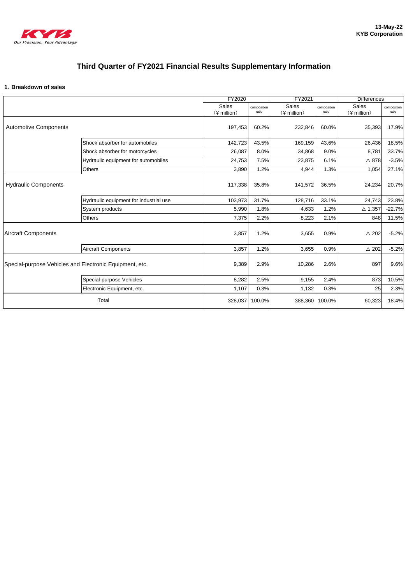

# **Third Quarter of FY2021 Financial Results Supplementary Information**

## **1**.**Breakdown of sales**

|                                                         |                                        | FY2020       |                      | FY2021       |                      | <b>Differences</b> |                      |
|---------------------------------------------------------|----------------------------------------|--------------|----------------------|--------------|----------------------|--------------------|----------------------|
|                                                         |                                        | <b>Sales</b> | composition<br>ratio | <b>Sales</b> | composition<br>ratio | <b>Sales</b>       | composition<br>ratio |
|                                                         |                                        | (¥ million)  |                      | (¥ million)  |                      | (¥ million)        |                      |
| <b>Automotive Components</b>                            |                                        | 197,453      | 60.2%                | 232,846      | 60.0%                | 35,393             | 17.9%                |
|                                                         | Shock absorber for automobiles         | 142,723      | 43.5%                | 169,159      | 43.6%                | 26,436             | 18.5%                |
|                                                         | Shock absorber for motorcycles         | 26,087       | 8.0%                 | 34,868       | 9.0%                 | 8,781              | 33.7%                |
|                                                         | Hydraulic equipment for automobiles    | 24,753       | 7.5%                 | 23,875       | 6.1%                 | $\triangle$ 878    | $-3.5%$              |
|                                                         | <b>Others</b>                          | 3,890        | 1.2%                 | 4,944        | 1.3%                 | 1,054              | 27.1%                |
| <b>Hydraulic Components</b>                             |                                        | 117,338      | 35.8%                | 141,572      | 36.5%                | 24,234             | 20.7%                |
|                                                         | Hydraulic equipment for industrial use | 103,973      | 31.7%                | 128,716      | 33.1%                | 24,743             | 23.8%                |
|                                                         | System products                        | 5,990        | 1.8%                 | 4,633        | 1.2%                 | $\triangle$ 1,357  | $-22.7%$             |
|                                                         | Others                                 | 7,375        | 2.2%                 | 8,223        | 2.1%                 | 848                | 11.5%                |
| <b>Aircraft Components</b>                              |                                        | 3,857        | 1.2%                 | 3,655        | 0.9%                 | $\triangle 202$    | $-5.2%$              |
|                                                         | <b>Aircraft Components</b>             | 3,857        | 1.2%                 | 3,655        | 0.9%                 | $\triangle$ 202    | $-5.2%$              |
| Special-purpose Vehicles and Electronic Equipment, etc. |                                        | 9,389        | 2.9%                 | 10,286       | 2.6%                 | 897                | 9.6%                 |
|                                                         | Special-purpose Vehicles               | 8,282        | 2.5%                 | 9,155        | 2.4%                 | 873                | 10.5%                |
|                                                         | Electronic Equipment, etc.             | 1,107        | 0.3%                 | 1,132        | 0.3%                 | 25                 | 2.3%                 |
|                                                         | Total                                  | 328,037      | 100.0%               | 388,360      | 100.0%               | 60,323             | 18.4%                |